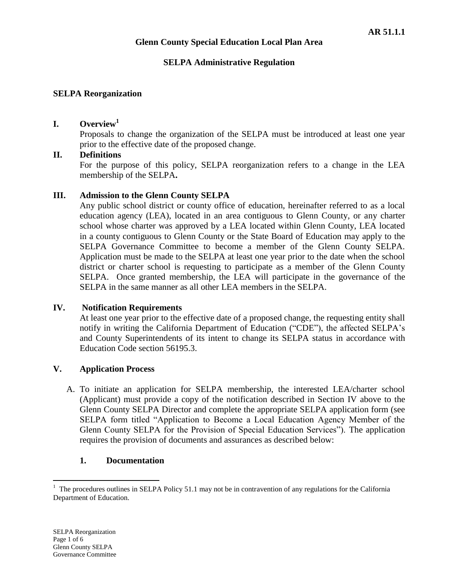## **SELPA Administrative Regulation**

## **SELPA Reorganization**

## **I. Overview<sup>1</sup>**

Proposals to change the organization of the SELPA must be introduced at least one year prior to the effective date of the proposed change.

## **II. Definitions**

For the purpose of this policy, SELPA reorganization refers to a change in the LEA membership of the SELPA**.**

## **III. Admission to the Glenn County SELPA**

Any public school district or county office of education, hereinafter referred to as a local education agency (LEA), located in an area contiguous to Glenn County, or any charter school whose charter was approved by a LEA located within Glenn County, LEA located in a county contiguous to Glenn County or the State Board of Education may apply to the SELPA Governance Committee to become a member of the Glenn County SELPA. Application must be made to the SELPA at least one year prior to the date when the school district or charter school is requesting to participate as a member of the Glenn County SELPA.Once granted membership, the LEA will participate in the governance of the SELPA in the same manner as all other LEA members in the SELPA.

## **IV. Notification Requirements**

At least one year prior to the effective date of a proposed change, the requesting entity shall notify in writing the California Department of Education ("CDE"), the affected SELPA's and County Superintendents of its intent to change its SELPA status in accordance with Education Code section 56195.3.

# **V. Application Process**

A. To initiate an application for SELPA membership, the interested LEA/charter school (Applicant) must provide a copy of the notification described in Section IV above to the Glenn County SELPA Director and complete the appropriate SELPA application form (see SELPA form titled "Application to Become a Local Education Agency Member of the Glenn County SELPA for the Provision of Special Education Services"). The application requires the provision of documents and assurances as described below:

## **1. Documentation**

<sup>&</sup>lt;sup>1</sup> The procedures outlines in SELPA Policy 51.1 may not be in contravention of any regulations for the California Department of Education.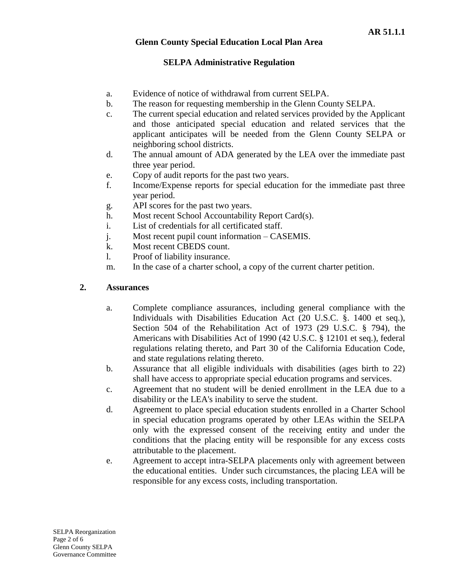## **SELPA Administrative Regulation**

- a. Evidence of notice of withdrawal from current SELPA.
- b. The reason for requesting membership in the Glenn County SELPA.
- c. The current special education and related services provided by the Applicant and those anticipated special education and related services that the applicant anticipates will be needed from the Glenn County SELPA or neighboring school districts.
- d. The annual amount of ADA generated by the LEA over the immediate past three year period.
- e. Copy of audit reports for the past two years.
- f. Income/Expense reports for special education for the immediate past three year period.
- g. API scores for the past two years.
- h. Most recent School Accountability Report Card(s).
- i. List of credentials for all certificated staff.
- j. Most recent pupil count information CASEMIS.
- k. Most recent CBEDS count.
- l. Proof of liability insurance.
- m. In the case of a charter school, a copy of the current charter petition.

## **2. Assurances**

- a. Complete compliance assurances, including general compliance with the Individuals with Disabilities Education Act (20 U.S.C. §. 1400 et seq.), Section 504 of the Rehabilitation Act of 1973 (29 U.S.C. § 794), the Americans with Disabilities Act of 1990 (42 U.S.C. § 12101 et seq.), federal regulations relating thereto, and Part 30 of the California Education Code, and state regulations relating thereto.
- b. Assurance that all eligible individuals with disabilities (ages birth to 22) shall have access to appropriate special education programs and services.
- c. Agreement that no student will be denied enrollment in the LEA due to a disability or the LEA's inability to serve the student.
- d. Agreement to place special education students enrolled in a Charter School in special education programs operated by other LEAs within the SELPA only with the expressed consent of the receiving entity and under the conditions that the placing entity will be responsible for any excess costs attributable to the placement.
- e. Agreement to accept intra-SELPA placements only with agreement between the educational entities. Under such circumstances, the placing LEA will be responsible for any excess costs, including transportation.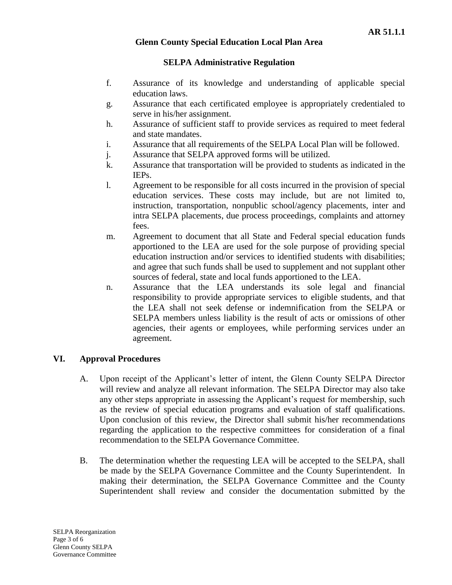## **SELPA Administrative Regulation**

- f. Assurance of its knowledge and understanding of applicable special education laws.
- g. Assurance that each certificated employee is appropriately credentialed to serve in his/her assignment.
- h. Assurance of sufficient staff to provide services as required to meet federal and state mandates.
- i. Assurance that all requirements of the SELPA Local Plan will be followed.
- j. Assurance that SELPA approved forms will be utilized.
- k. Assurance that transportation will be provided to students as indicated in the IEPs.
- l. Agreement to be responsible for all costs incurred in the provision of special education services. These costs may include, but are not limited to, instruction, transportation, nonpublic school/agency placements, inter and intra SELPA placements, due process proceedings, complaints and attorney fees.
- m. Agreement to document that all State and Federal special education funds apportioned to the LEA are used for the sole purpose of providing special education instruction and/or services to identified students with disabilities; and agree that such funds shall be used to supplement and not supplant other sources of federal, state and local funds apportioned to the LEA.
- n. Assurance that the LEA understands its sole legal and financial responsibility to provide appropriate services to eligible students, and that the LEA shall not seek defense or indemnification from the SELPA or SELPA members unless liability is the result of acts or omissions of other agencies, their agents or employees, while performing services under an agreement.

# **VI. Approval Procedures**

- A. Upon receipt of the Applicant's letter of intent, the Glenn County SELPA Director will review and analyze all relevant information. The SELPA Director may also take any other steps appropriate in assessing the Applicant's request for membership, such as the review of special education programs and evaluation of staff qualifications. Upon conclusion of this review, the Director shall submit his/her recommendations regarding the application to the respective committees for consideration of a final recommendation to the SELPA Governance Committee.
- B. The determination whether the requesting LEA will be accepted to the SELPA, shall be made by the SELPA Governance Committee and the County Superintendent. In making their determination, the SELPA Governance Committee and the County Superintendent shall review and consider the documentation submitted by the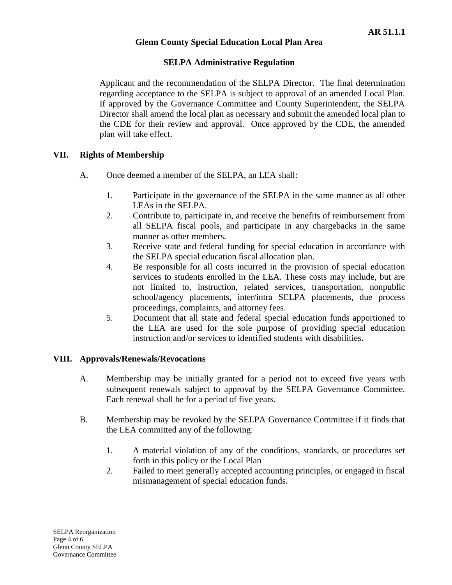## **SELPA Administrative Regulation**

Applicant and the recommendation of the SELPA Director. The final determination regarding acceptance to the SELPA is subject to approval of an amended Local Plan. If approved by the Governance Committee and County Superintendent, the SELPA Director shall amend the local plan as necessary and submit the amended local plan to the CDE for their review and approval. Once approved by the CDE, the amended plan will take effect.

## **VII. Rights of Membership**

- A. Once deemed a member of the SELPA, an LEA shall:
	- 1. Participate in the governance of the SELPA in the same manner as all other LEAs in the SELPA.
	- 2. Contribute to, participate in, and receive the benefits of reimbursement from all SELPA fiscal pools, and participate in any chargebacks in the same manner as other members.
	- 3. Receive state and federal funding for special education in accordance with the SELPA special education fiscal allocation plan.
	- 4. Be responsible for all costs incurred in the provision of special education services to students enrolled in the LEA. These costs may include, but are not limited to, instruction, related services, transportation, nonpublic school/agency placements, inter/intra SELPA placements, due process proceedings, complaints, and attorney fees.
	- 5. Document that all state and federal special education funds apportioned to the LEA are used for the sole purpose of providing special education instruction and/or services to identified students with disabilities.

## **VIII. Approvals/Renewals/Revocations**

- A. Membership may be initially granted for a period not to exceed five years with subsequent renewals subject to approval by the SELPA Governance Committee. Each renewal shall be for a period of five years.
- B. Membership may be revoked by the SELPA Governance Committee if it finds that the LEA committed any of the following:
	- 1. A material violation of any of the conditions, standards, or procedures set forth in this policy or the Local Plan
	- 2. Failed to meet generally accepted accounting principles, or engaged in fiscal mismanagement of special education funds.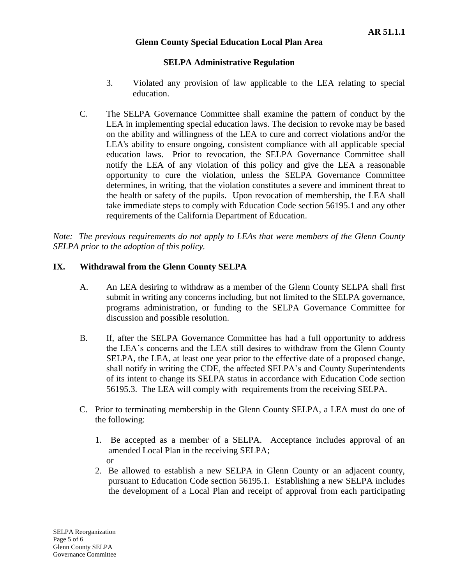## **SELPA Administrative Regulation**

- 3. Violated any provision of law applicable to the LEA relating to special education.
- C. The SELPA Governance Committee shall examine the pattern of conduct by the LEA in implementing special education laws. The decision to revoke may be based on the ability and willingness of the LEA to cure and correct violations and/or the LEA's ability to ensure ongoing, consistent compliance with all applicable special education laws. Prior to revocation, the SELPA Governance Committee shall notify the LEA of any violation of this policy and give the LEA a reasonable opportunity to cure the violation, unless the SELPA Governance Committee determines, in writing, that the violation constitutes a severe and imminent threat to the health or safety of the pupils. Upon revocation of membership, the LEA shall take immediate steps to comply with Education Code section 56195.1 and any other requirements of the California Department of Education.

*Note: The previous requirements do not apply to LEAs that were members of the Glenn County SELPA prior to the adoption of this policy.*

## **IX. Withdrawal from the Glenn County SELPA**

- A. An LEA desiring to withdraw as a member of the Glenn County SELPA shall first submit in writing any concerns including, but not limited to the SELPA governance, programs administration, or funding to the SELPA Governance Committee for discussion and possible resolution.
- B. If, after the SELPA Governance Committee has had a full opportunity to address the LEA's concerns and the LEA still desires to withdraw from the Glenn County SELPA, the LEA, at least one year prior to the effective date of a proposed change, shall notify in writing the CDE, the affected SELPA's and County Superintendents of its intent to change its SELPA status in accordance with Education Code section 56195.3. The LEA will comply with requirements from the receiving SELPA.
- C. Prior to terminating membership in the Glenn County SELPA, a LEA must do one of the following:
	- 1. Be accepted as a member of a SELPA. Acceptance includes approval of an amended Local Plan in the receiving SELPA; or
	- 2. Be allowed to establish a new SELPA in Glenn County or an adjacent county, pursuant to Education Code section 56195.1. Establishing a new SELPA includes the development of a Local Plan and receipt of approval from each participating